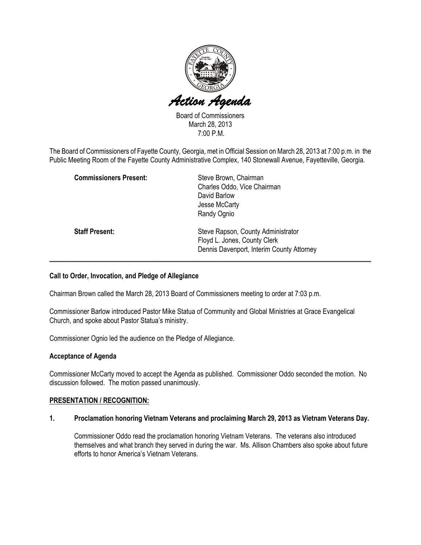

Board of Commissioners March 28, 2013 7:00 P.M.

The Board of Commissioners of Fayette County, Georgia, met in Official Session on March 28, 2013 at 7:00 p.m. in the Public Meeting Room of the Fayette County Administrative Complex, 140 Stonewall Avenue, Fayetteville, Georgia.

| <b>Commissioners Present:</b> | Steve Brown, Chairman<br>Charles Oddo, Vice Chairman<br>David Barlow<br>Jesse McCarty<br>Randy Ognio            |
|-------------------------------|-----------------------------------------------------------------------------------------------------------------|
| <b>Staff Present:</b>         | Steve Rapson, County Administrator<br>Floyd L. Jones, County Clerk<br>Dennis Davenport, Interim County Attorney |

## Call to Order, Invocation, and Pledge of Allegiance

Chairman Brown called the March 28, 2013 Board of Commissioners meeting to order at 7:03 p.m.

Commissioner Barlow introduced Pastor Mike Statua of Community and Global Ministries at Grace Evangelical Church, and spoke about Pastor Statua's ministry.

Commissioner Ognio led the audience on the Pledge of Allegiance.

## Acceptance of Agenda

Commissioner McCarty moved to accept the Agenda as published. Commissioner Oddo seconded the motion. No discussion followed. The motion passed unanimously.

## PRESENTATION / RECOGNITION:

#### 1. Proclamation honoring Vietnam Veterans and proclaiming March 29, 2013 as Vietnam Veterans Day.

Commissioner Oddo read the proclamation honoring Vietnam Veterans. The veterans also introduced themselves and what branch they served in during the war. Ms. Allison Chambers also spoke about future efforts to honor America's Vietnam Veterans.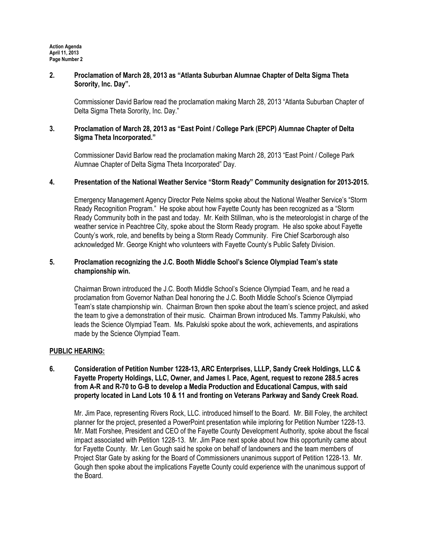## 2. Proclamation of March 28, 2013 as "Atlanta Suburban Alumnae Chapter of Delta Sigma Theta Sorority, Inc. Day".

Commissioner David Barlow read the proclamation making March 28, 2013 "Atlanta Suburban Chapter of Delta Sigma Theta Sorority, Inc. Day."

## 3. Proclamation of March 28, 2013 as "East Point / College Park (EPCP) Alumnae Chapter of Delta Sigma Theta Incorporated."

Commissioner David Barlow read the proclamation making March 28, 2013 "East Point / College Park Alumnae Chapter of Delta Sigma Theta Incorporated" Day.

## 4. Presentation of the National Weather Service "Storm Ready" Community designation for 2013-2015.

Emergency Management Agency Director Pete Nelms spoke about the National Weather Service's "Storm Ready Recognition Program." He spoke about how Fayette County has been recognized as a "Storm Ready Community both in the past and today. Mr. Keith Stillman, who is the meteorologist in charge of the weather service in Peachtree City, spoke about the Storm Ready program. He also spoke about Fayette County's work, role, and benefits by being a Storm Ready Community. Fire Chief Scarborough also acknowledged Mr. George Knight who volunteers with Fayette County's Public Safety Division.

## 5. Proclamation recognizing the J.C. Booth Middle School's Science Olympiad Team's state championship win.

Chairman Brown introduced the J.C. Booth Middle School's Science Olympiad Team, and he read a proclamation from Governor Nathan Deal honoring the J.C. Booth Middle School's Science Olympiad Team's state championship win. Chairman Brown then spoke about the team's science project, and asked the team to give a demonstration of their music. Chairman Brown introduced Ms. Tammy Pakulski, who leads the Science Olympiad Team. Ms. Pakulski spoke about the work, achievements, and aspirations made by the Science Olympiad Team.

## PUBLIC HEARING:

## 6. Consideration of Petition Number 1228-13, ARC Enterprises, LLLP, Sandy Creek Holdings, LLC & Fayette Property Holdings, LLC, Owner, and James I. Pace, Agent, request to rezone 288.5 acres from A-R and R-70 to G-B to develop a Media Production and Educational Campus, with said property located in Land Lots 10 & 11 and fronting on Veterans Parkway and Sandy Creek Road.

Mr. Jim Pace, representing Rivers Rock, LLC. introduced himself to the Board. Mr. Bill Foley, the architect planner for the project, presented a PowerPoint presentation while imploring for Petition Number 1228-13. Mr. Matt Forshee, President and CEO of the Fayette County Development Authority, spoke about the fiscal impact associated with Petition 1228-13. Mr. Jim Pace next spoke about how this opportunity came about for Fayette County. Mr. Len Gough said he spoke on behalf of landowners and the team members of Project Star Gate by asking for the Board of Commissioners unanimous support of Petition 1228-13. Mr. Gough then spoke about the implications Fayette County could experience with the unanimous support of the Board.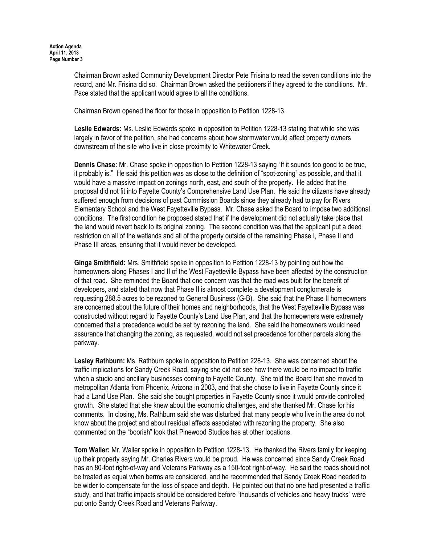Chairman Brown asked Community Development Director Pete Frisina to read the seven conditions into the record, and Mr. Frisina did so. Chairman Brown asked the petitioners if they agreed to the conditions. Mr. Pace stated that the applicant would agree to all the conditions.

Chairman Brown opened the floor for those in opposition to Petition 1228-13.

Leslie Edwards: Ms. Leslie Edwards spoke in opposition to Petition 1228-13 stating that while she was largely in favor of the petition, she had concerns about how stormwater would affect property owners downstream of the site who live in close proximity to Whitewater Creek.

Dennis Chase: Mr. Chase spoke in opposition to Petition 1228-13 saying "If it sounds too good to be true, it probably is." He said this petition was as close to the definition of "spot-zoning" as possible, and that it would have a massive impact on zonings north, east, and south of the property. He added that the proposal did not fit into Fayette County's Comprehensive Land Use Plan. He said the citizens have already suffered enough from decisions of past Commission Boards since they already had to pay for Rivers Elementary School and the West Fayetteville Bypass. Mr. Chase asked the Board to impose two additional conditions. The first condition he proposed stated that if the development did not actually take place that the land would revert back to its original zoning. The second condition was that the applicant put a deed restriction on all of the wetlands and all of the property outside of the remaining Phase I, Phase II and Phase III areas, ensuring that it would never be developed.

Ginga Smithfield: Mrs. Smithfield spoke in opposition to Petition 1228-13 by pointing out how the homeowners along Phases I and II of the West Fayetteville Bypass have been affected by the construction of that road. She reminded the Board that one concern was that the road was built for the benefit of developers, and stated that now that Phase II is almost complete a development conglomerate is requesting 288.5 acres to be rezoned to General Business (G-B). She said that the Phase II homeowners are concerned about the future of their homes and neighborhoods, that the West Fayetteville Bypass was constructed without regard to Fayette County's Land Use Plan, and that the homeowners were extremely concerned that a precedence would be set by rezoning the land. She said the homeowners would need assurance that changing the zoning, as requested, would not set precedence for other parcels along the parkway.

Lesley Rathburn: Ms. Rathburn spoke in opposition to Petition 228-13. She was concerned about the traffic implications for Sandy Creek Road, saying she did not see how there would be no impact to traffic when a studio and ancillary businesses coming to Fayette County. She told the Board that she moved to metropolitan Atlanta from Phoenix, Arizona in 2003, and that she chose to live in Fayette County since it had a Land Use Plan. She said she bought properties in Fayette County since it would provide controlled growth. She stated that she knew about the economic challenges, and she thanked Mr. Chase for his comments. In closing, Ms. Rathburn said she was disturbed that many people who live in the area do not know about the project and about residual affects associated with rezoning the property. She also commented on the "boorish" look that Pinewood Studios has at other locations.

Tom Waller: Mr. Waller spoke in opposition to Petition 1228-13. He thanked the Rivers family for keeping up their property saying Mr. Charles Rivers would be proud. He was concerned since Sandy Creek Road has an 80-foot right-of-way and Veterans Parkway as a 150-foot right-of-way. He said the roads should not be treated as equal when berms are considered, and he recommended that Sandy Creek Road needed to be wider to compensate for the loss of space and depth. He pointed out that no one had presented a traffic study, and that traffic impacts should be considered before "thousands of vehicles and heavy trucks" were put onto Sandy Creek Road and Veterans Parkway.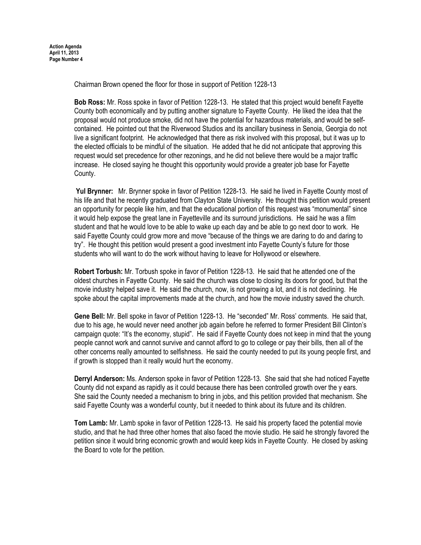Chairman Brown opened the floor for those in support of Petition 1228-13

Bob Ross: Mr. Ross spoke in favor of Petition 1228-13. He stated that this project would benefit Fayette County both economically and by putting another signature to Fayette County. He liked the idea that the proposal would not produce smoke, did not have the potential for hazardous materials, and would be selfcontained. He pointed out that the Riverwood Studios and its ancillary business in Senoia, Georgia do not live a significant footprint. He acknowledged that there as risk involved with this proposal, but it was up to the elected officials to be mindful of the situation. He added that he did not anticipate that approving this request would set precedence for other rezonings, and he did not believe there would be a major traffic increase. He closed saying he thought this opportunity would provide a greater job base for Fayette County.

Yul Brynner: Mr. Brynner spoke in favor of Petition 1228-13. He said he lived in Fayette County most of his life and that he recently graduated from Clayton State University. He thought this petition would present an opportunity for people like him, and that the educational portion of this request was "monumental" since it would help expose the great lane in Fayetteville and its surround jurisdictions. He said he was a film student and that he would love to be able to wake up each day and be able to go next door to work. He said Fayette County could grow more and move "because of the things we are daring to do and daring to try". He thought this petition would present a good investment into Fayette County's future for those students who will want to do the work without having to leave for Hollywood or elsewhere.

Robert Torbush: Mr. Torbush spoke in favor of Petition 1228-13. He said that he attended one of the oldest churches in Fayette County. He said the church was close to closing its doors for good, but that the movie industry helped save it. He said the church, now, is not growing a lot, and it is not declining. He spoke about the capital improvements made at the church, and how the movie industry saved the church.

Gene Bell: Mr. Bell spoke in favor of Petition 1228-13. He "seconded" Mr. Ross' comments. He said that, due to his age, he would never need another job again before he referred to former President Bill Clinton's campaign quote: "It's the economy, stupid". He said if Fayette County does not keep in mind that the young people cannot work and cannot survive and cannot afford to go to college or pay their bills, then all of the other concerns really amounted to selfishness. He said the county needed to put its young people first, and if growth is stopped than it really would hurt the economy.

Derryl Anderson: Ms. Anderson spoke in favor of Petition 1228-13. She said that she had noticed Fayette County did not expand as rapidly as it could because there has been controlled growth over the y ears. She said the County needed a mechanism to bring in jobs, and this petition provided that mechanism. She said Fayette County was a wonderful county, but it needed to think about its future and its children.

Tom Lamb: Mr. Lamb spoke in favor of Petition 1228-13. He said his property faced the potential movie studio, and that he had three other homes that also faced the movie studio. He said he strongly favored the petition since it would bring economic growth and would keep kids in Fayette County. He closed by asking the Board to vote for the petition.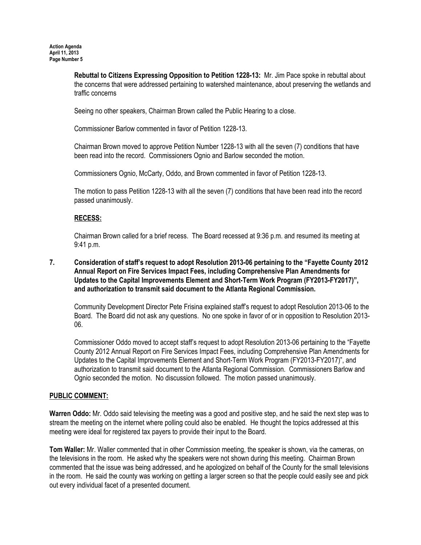Rebuttal to Citizens Expressing Opposition to Petition 1228-13: Mr. Jim Pace spoke in rebuttal about the concerns that were addressed pertaining to watershed maintenance, about preserving the wetlands and traffic concerns

Seeing no other speakers, Chairman Brown called the Public Hearing to a close.

Commissioner Barlow commented in favor of Petition 1228-13.

Chairman Brown moved to approve Petition Number 1228-13 with all the seven (7) conditions that have been read into the record. Commissioners Ognio and Barlow seconded the motion.

Commissioners Ognio, McCarty, Oddo, and Brown commented in favor of Petition 1228-13.

The motion to pass Petition 1228-13 with all the seven (7) conditions that have been read into the record passed unanimously.

# RECESS:

Chairman Brown called for a brief recess. The Board recessed at 9:36 p.m. and resumed its meeting at 9:41 p.m.

7. Consideration of staff's request to adopt Resolution 2013-06 pertaining to the "Fayette County 2012 Annual Report on Fire Services Impact Fees, including Comprehensive Plan Amendments for Updates to the Capital Improvements Element and Short-Term Work Program (FY2013-FY2017)", and authorization to transmit said document to the Atlanta Regional Commission.

Community Development Director Pete Frisina explained staff's request to adopt Resolution 2013-06 to the Board. The Board did not ask any questions. No one spoke in favor of or in opposition to Resolution 2013- 06.

Commissioner Oddo moved to accept staff's request to adopt Resolution 2013-06 pertaining to the "Fayette County 2012 Annual Report on Fire Services Impact Fees, including Comprehensive Plan Amendments for Updates to the Capital Improvements Element and Short-Term Work Program (FY2013-FY2017)", and authorization to transmit said document to the Atlanta Regional Commission. Commissioners Barlow and Ognio seconded the motion. No discussion followed. The motion passed unanimously.

# PUBLIC COMMENT:

Warren Oddo: Mr. Oddo said televising the meeting was a good and positive step, and he said the next step was to stream the meeting on the internet where polling could also be enabled. He thought the topics addressed at this meeting were ideal for registered tax payers to provide their input to the Board.

Tom Waller: Mr. Waller commented that in other Commission meeting, the speaker is shown, via the cameras, on the televisions in the room. He asked why the speakers were not shown during this meeting. Chairman Brown commented that the issue was being addressed, and he apologized on behalf of the County for the small televisions in the room. He said the county was working on getting a larger screen so that the people could easily see and pick out every individual facet of a presented document.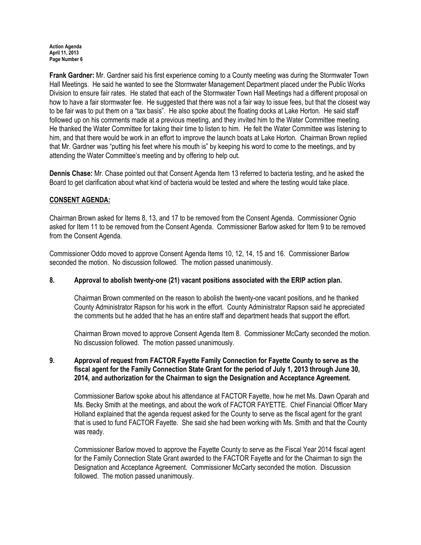Action Agenda April 11, 2013 Page Number 6

Frank Gardner: Mr. Gardner said his first experience coming to a County meeting was during the Stormwater Town Hall Meetings. He said he wanted to see the Stormwater Management Department placed under the Public Works Division to ensure fair rates. He stated that each of the Stormwater Town Hall Meetings had a different proposal on how to have a fair stormwater fee. He suggested that there was not a fair way to issue fees, but that the closest way to be fair was to put them on a "tax basis". He also spoke about the floating docks at Lake Horton. He said staff followed up on his comments made at a previous meeting, and they invited him to the Water Committee meeting. He thanked the Water Committee for taking their time to listen to him. He felt the Water Committee was listening to him, and that there would be work in an effort to improve the launch boats at Lake Horton. Chairman Brown replied that Mr. Gardner was "putting his feet where his mouth is" by keeping his word to come to the meetings, and by attending the Water Committee's meeting and by offering to help out.

Dennis Chase: Mr. Chase pointed out that Consent Agenda Item 13 referred to bacteria testing, and he asked the Board to get clarification about what kind of bacteria would be tested and where the testing would take place.

## CONSENT AGENDA:

Chairman Brown asked for Items 8, 13, and 17 to be removed from the Consent Agenda. Commissioner Ognio asked for Item 11 to be removed from the Consent Agenda. Commissioner Barlow asked for Item 9 to be removed from the Consent Agenda.

Commissioner Oddo moved to approve Consent Agenda Items 10, 12, 14, 15 and 16. Commissioner Barlow seconded the motion. No discussion followed. The motion passed unanimously.

## 8. Approval to abolish twenty-one (21) vacant positions associated with the ERIP action plan.

Chairman Brown commented on the reason to abolish the twenty-one vacant positions, and he thanked County Administrator Rapson for his work in the effort. County Administrator Rapson said he appreciated the comments but he added that he has an entire staff and department heads that support the effort.

Chairman Brown moved to approve Consent Agenda Item 8. Commissioner McCarty seconded the motion. No discussion followed. The motion passed unanimously.

## 9. Approval of request from FACTOR Fayette Family Connection for Fayette County to serve as the fiscal agent for the Family Connection State Grant for the period of July 1, 2013 through June 30, 2014, and authorization for the Chairman to sign the Designation and Acceptance Agreement.

Commissioner Barlow spoke about his attendance at FACTOR Fayette, how he met Ms. Dawn Oparah and Ms. Becky Smith at the meetings, and about the work of FACTOR FAYETTE. Chief Financial Officer Mary Holland explained that the agenda request asked for the County to serve as the fiscal agent for the grant that is used to fund FACTOR Fayette. She said she had been working with Ms. Smith and that the County was ready.

Commissioner Barlow moved to approve the Fayette County to serve as the Fiscal Year 2014 fiscal agent for the Family Connection State Grant awarded to the FACTOR Fayette and for the Chairman to sign the Designation and Acceptance Agreement. Commissioner McCarty seconded the motion. Discussion followed. The motion passed unanimously.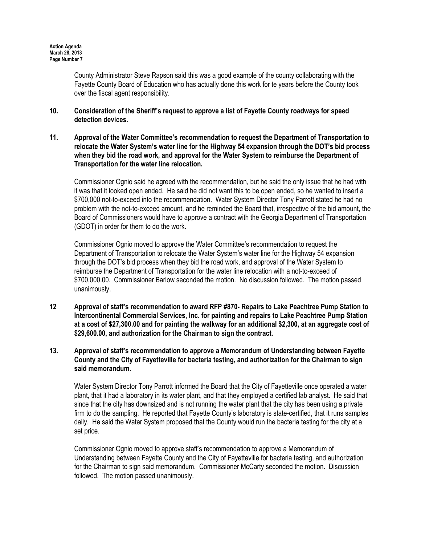County Administrator Steve Rapson said this was a good example of the county collaborating with the Fayette County Board of Education who has actually done this work for te years before the County took over the fiscal agent responsibility.

- 10. Consideration of the Sheriff's request to approve a list of Fayette County roadways for speed detection devices.
- 11. Approval of the Water Committee's recommendation to request the Department of Transportation to relocate the Water System's water line for the Highway 54 expansion through the DOT's bid process when they bid the road work, and approval for the Water System to reimburse the Department of Transportation for the water line relocation.

Commissioner Ognio said he agreed with the recommendation, but he said the only issue that he had with it was that it looked open ended. He said he did not want this to be open ended, so he wanted to insert a \$700,000 not-to-exceed into the recommendation. Water System Director Tony Parrott stated he had no problem with the not-to-exceed amount, and he reminded the Board that, irrespective of the bid amount, the Board of Commissioners would have to approve a contract with the Georgia Department of Transportation (GDOT) in order for them to do the work.

Commissioner Ognio moved to approve the Water Committee's recommendation to request the Department of Transportation to relocate the Water System's water line for the Highway 54 expansion through the DOT's bid process when they bid the road work, and approval of the Water System to reimburse the Department of Transportation for the water line relocation with a not-to-exceed of \$700,000.00. Commissioner Barlow seconded the motion. No discussion followed. The motion passed unanimously.

- 12 Approval of staff's recommendation to award RFP #870- Repairs to Lake Peachtree Pump Station to Intercontinental Commercial Services, Inc. for painting and repairs to Lake Peachtree Pump Station at a cost of \$27,300.00 and for painting the walkway for an additional \$2,300, at an aggregate cost of \$29,600.00, and authorization for the Chairman to sign the contract.
- 13. Approval of staff's recommendation to approve a Memorandum of Understanding between Fayette County and the City of Fayetteville for bacteria testing, and authorization for the Chairman to sign said memorandum.

Water System Director Tony Parrott informed the Board that the City of Fayetteville once operated a water plant, that it had a laboratory in its water plant, and that they employed a certified lab analyst. He said that since that the city has downsized and is not running the water plant that the city has been using a private firm to do the sampling. He reported that Fayette County's laboratory is state-certified, that it runs samples daily. He said the Water System proposed that the County would run the bacteria testing for the city at a set price.

Commissioner Ognio moved to approve staff's recommendation to approve a Memorandum of Understanding between Fayette County and the City of Fayetteville for bacteria testing, and authorization for the Chairman to sign said memorandum. Commissioner McCarty seconded the motion. Discussion followed. The motion passed unanimously.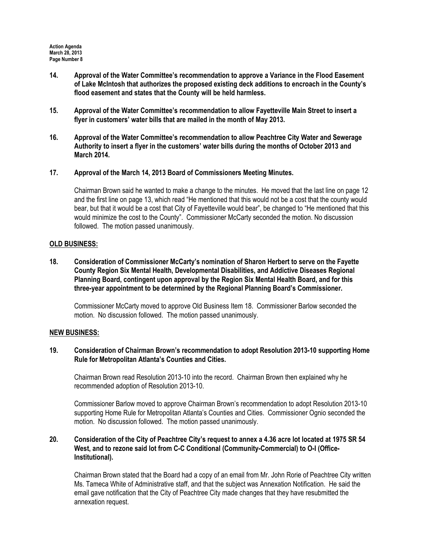- 14. Approval of the Water Committee's recommendation to approve a Variance in the Flood Easement of Lake McIntosh that authorizes the proposed existing deck additions to encroach in the County's flood easement and states that the County will be held harmless.
- 15. Approval of the Water Committee's recommendation to allow Fayetteville Main Street to insert a flyer in customers' water bills that are mailed in the month of May 2013.
- 16. Approval of the Water Committee's recommendation to allow Peachtree City Water and Sewerage Authority to insert a flyer in the customers' water bills during the months of October 2013 and March 2014.
- 17. Approval of the March 14, 2013 Board of Commissioners Meeting Minutes.

Chairman Brown said he wanted to make a change to the minutes. He moved that the last line on page 12 and the first line on page 13, which read "He mentioned that this would not be a cost that the county would bear, but that it would be a cost that City of Fayetteville would bear", be changed to "He mentioned that this would minimize the cost to the County". Commissioner McCarty seconded the motion. No discussion followed. The motion passed unanimously.

## OLD BUSINESS:

18. Consideration of Commissioner McCarty's nomination of Sharon Herbert to serve on the Fayette County Region Six Mental Health, Developmental Disabilities, and Addictive Diseases Regional Planning Board, contingent upon approval by the Region Six Mental Health Board, and for this three-year appointment to be determined by the Regional Planning Board's Commissioner.

Commissioner McCarty moved to approve Old Business Item 18. Commissioner Barlow seconded the motion. No discussion followed. The motion passed unanimously.

## NEW BUSINESS:

19. Consideration of Chairman Brown's recommendation to adopt Resolution 2013-10 supporting Home Rule for Metropolitan Atlanta's Counties and Cities.

Chairman Brown read Resolution 2013-10 into the record. Chairman Brown then explained why he recommended adoption of Resolution 2013-10.

Commissioner Barlow moved to approve Chairman Brown's recommendation to adopt Resolution 2013-10 supporting Home Rule for Metropolitan Atlanta's Counties and Cities. Commissioner Ognio seconded the motion. No discussion followed. The motion passed unanimously.

## 20. Consideration of the City of Peachtree City's request to annex a 4.36 acre lot located at 1975 SR 54 West, and to rezone said lot from C-C Conditional (Community-Commercial) to O-I (Office-Institutional).

Chairman Brown stated that the Board had a copy of an email from Mr. John Rorie of Peachtree City written Ms. Tameca White of Administrative staff, and that the subject was Annexation Notification. He said the email gave notification that the City of Peachtree City made changes that they have resubmitted the annexation request.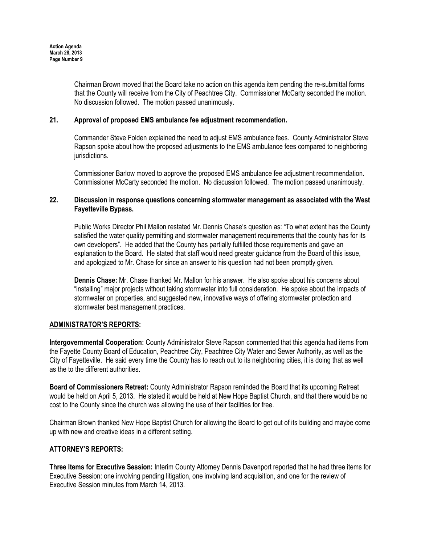Chairman Brown moved that the Board take no action on this agenda item pending the re-submittal forms that the County will receive from the City of Peachtree City. Commissioner McCarty seconded the motion. No discussion followed. The motion passed unanimously.

## 21. Approval of proposed EMS ambulance fee adjustment recommendation.

Commander Steve Folden explained the need to adjust EMS ambulance fees. County Administrator Steve Rapson spoke about how the proposed adjustments to the EMS ambulance fees compared to neighboring jurisdictions.

Commissioner Barlow moved to approve the proposed EMS ambulance fee adjustment recommendation. Commissioner McCarty seconded the motion. No discussion followed. The motion passed unanimously.

## 22. Discussion in response questions concerning stormwater management as associated with the West Fayetteville Bypass.

Public Works Director Phil Mallon restated Mr. Dennis Chase's question as: "To what extent has the County satisfied the water quality permitting and stormwater management requirements that the county has for its own developers". He added that the County has partially fulfilled those requirements and gave an explanation to the Board. He stated that staff would need greater guidance from the Board of this issue, and apologized to Mr. Chase for since an answer to his question had not been promptly given.

Dennis Chase: Mr. Chase thanked Mr. Mallon for his answer. He also spoke about his concerns about "installing" major projects without taking stormwater into full consideration. He spoke about the impacts of stormwater on properties, and suggested new, innovative ways of offering stormwater protection and stormwater best management practices.

# ADMINISTRATOR'S REPORTS:

Intergovernmental Cooperation: County Administrator Steve Rapson commented that this agenda had items from the Fayette County Board of Education, Peachtree City, Peachtree City Water and Sewer Authority, as well as the City of Fayetteville. He said every time the County has to reach out to its neighboring cities, it is doing that as well as the to the different authorities.

Board of Commissioners Retreat: County Administrator Rapson reminded the Board that its upcoming Retreat would be held on April 5, 2013. He stated it would be held at New Hope Baptist Church, and that there would be no cost to the County since the church was allowing the use of their facilities for free.

Chairman Brown thanked New Hope Baptist Church for allowing the Board to get out of its building and maybe come up with new and creative ideas in a different setting.

## ATTORNEY'S REPORTS:

Three Items for Executive Session: Interim County Attorney Dennis Davenport reported that he had three items for Executive Session: one involving pending litigation, one involving land acquisition, and one for the review of Executive Session minutes from March 14, 2013.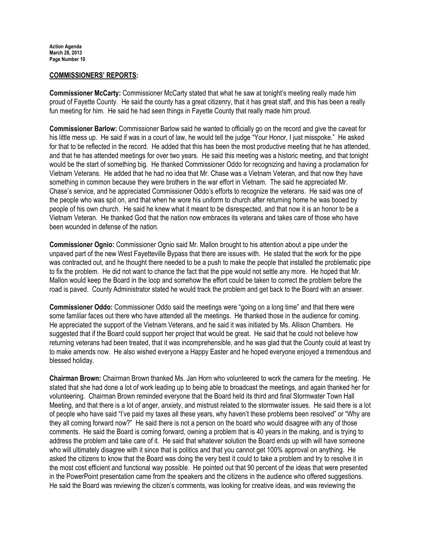#### COMMISSIONERS' REPORTS:

Commissioner McCarty: Commissioner McCarty stated that what he saw at tonight's meeting really made him proud of Fayette County. He said the county has a great citizenry, that it has great staff, and this has been a really fun meeting for him. He said he had seen things in Fayette County that really made him proud.

Commissioner Barlow: Commissioner Barlow said he wanted to officially go on the record and give the caveat for his little mess up. He said if was in a court of law, he would tell the judge "Your Honor, I just misspoke." He asked for that to be reflected in the record. He added that this has been the most productive meeting that he has attended, and that he has attended meetings for over two years. He said this meeting was a historic meeting, and that tonight would be the start of something big. He thanked Commissioner Oddo for recognizing and having a proclamation for Vietnam Veterans. He added that he had no idea that Mr. Chase was a Vietnam Veteran, and that now they have something in common because they were brothers in the war effort in Vietnam. The said he appreciated Mr. Chase's service, and he appreciated Commissioner Oddo's efforts to recognize the veterans. He said was one of the people who was spit on, and that when he wore his uniform to church after returning home he was booed by people of his own church. He said he knew what it meant to be disrespected, and that now it is an honor to be a Vietnam Veteran. He thanked God that the nation now embraces its veterans and takes care of those who have been wounded in defense of the nation.

Commissioner Ognio: Commissioner Ognio said Mr. Mallon brought to his attention about a pipe under the unpaved part of the new West Fayetteville Bypass that there are issues with. He stated that the work for the pipe was contracted out, and he thought there needed to be a push to make the people that installed the problematic pipe to fix the problem. He did not want to chance the fact that the pipe would not settle any more. He hoped that Mr. Mallon would keep the Board in the loop and somehow the effort could be taken to correct the problem before the road is paved. County Administrator stated he would track the problem and get back to the Board with an answer.

Commissioner Oddo: Commissioner Oddo said the meetings were "going on a long time" and that there were some familiar faces out there who have attended all the meetings. He thanked those in the audience for coming. He appreciated the support of the Vietnam Veterans, and he said it was initiated by Ms. Allison Chambers. He suggested that if the Board could support her project that would be great. He said that he could not believe how returning veterans had been treated, that it was incomprehensible, and he was glad that the County could at least try to make amends now. He also wished everyone a Happy Easter and he hoped everyone enjoyed a tremendous and blessed holiday.

Chairman Brown: Chairman Brown thanked Ms. Jan Horn who volunteered to work the camera for the meeting. He stated that she had done a lot of work leading up to being able to broadcast the meetings, and again thanked her for volunteering. Chairman Brown reminded everyone that the Board held its third and final Stormwater Town Hall Meeting, and that there is a lot of anger, anxiety, and mistrust related to the stormwater issues. He said there is a lot of people who have said "I've paid my taxes all these years, why haven't these problems been resolved" or "Why are they all coming forward now?" He said there is not a person on the board who would disagree with any of those comments. He said the Board is coming forward, owning a problem that is 40 years in the making, and is trying to address the problem and take care of it. He said that whatever solution the Board ends up with will have someone who will ultimately disagree with it since that is politics and that you cannot get 100% approval on anything. He asked the citizens to know that the Board was doing the very best it could to take a problem and try to resolve it in the most cost efficient and functional way possible. He pointed out that 90 percent of the ideas that were presented in the PowerPoint presentation came from the speakers and the citizens in the audience who offered suggestions. He said the Board was reviewing the citizen's comments, was looking for creative ideas, and was reviewing the